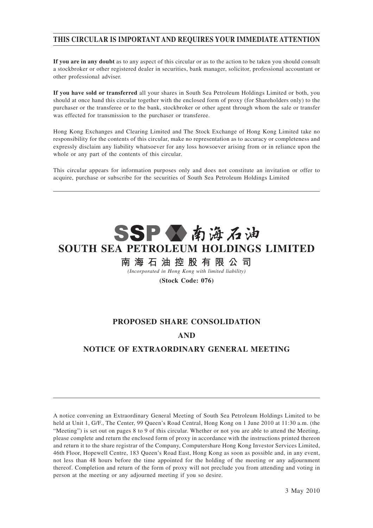## **THIS CIRCULAR IS IMPORTANT AND REQUIRES YOUR IMMEDIATE ATTENTION**

**If you are in any doubt** as to any aspect of this circular or as to the action to be taken you should consult a stockbroker or other registered dealer in securities, bank manager, solicitor, professional accountant or other professional adviser.

**If you have sold or transferred** all your shares in South Sea Petroleum Holdings Limited or both, you should at once hand this circular together with the enclosed form of proxy (for Shareholders only) to the purchaser or the transferee or to the bank, stockbroker or other agent through whom the sale or transfer was effected for transmission to the purchaser or transferee.

Hong Kong Exchanges and Clearing Limited and The Stock Exchange of Hong Kong Limited take no responsibility for the contents of this circular, make no representation as to accuracy or completeness and expressly disclaim any liability whatsoever for any loss howsoever arising from or in reliance upon the whole or any part of the contents of this circular.

This circular appears for information purposes only and does not constitute an invitation or offer to acquire, purchase or subscribe for the securities of South Sea Petroleum Holdings Limited



## **SOUTH SEA PETROLEUM HOLDINGS LIMITED**

南海石油控股有限公司

*(Incorporated in Hong Kong with limited liability)*

**(Stock Code: 076)**

# **PROPOSED SHARE CONSOLIDATION AND**

## **NOTICE OF EXTRAORDINARY GENERAL MEETING**

A notice convening an Extraordinary General Meeting of South Sea Petroleum Holdings Limited to be held at Unit 1, G/F., The Center, 99 Queen's Road Central, Hong Kong on 1 June 2010 at 11:30 a.m. (the "Meeting") is set out on pages 8 to 9 of this circular. Whether or not you are able to attend the Meeting, please complete and return the enclosed form of proxy in accordance with the instructions printed thereon and return it to the share registrar of the Company, Computershare Hong Kong Investor Services Limited, 46th Floor, Hopewell Centre, 183 Queen's Road East, Hong Kong as soon as possible and, in any event, not less than 48 hours before the time appointed for the holding of the meeting or any adjournment thereof. Completion and return of the form of proxy will not preclude you from attending and voting in person at the meeting or any adjourned meeting if you so desire.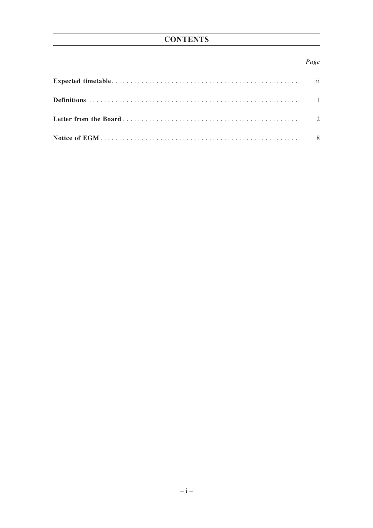## Page

| $\overline{\mathbf{u}}$ |
|-------------------------|
|                         |
|                         |
|                         |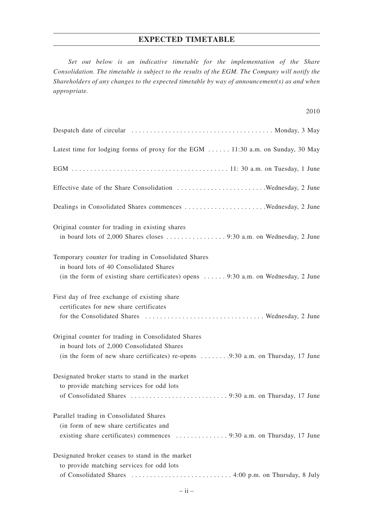#### **EXPECTED TIMETABLE**

*Set out below is an indicative timetable for the implementation of the Share Consolidation. The timetable is subject to the results of the EGM. The Company will notify the Shareholders of any changes to the expected timetable by way of announcement(s) as and when appropriate.*

| Latest time for lodging forms of proxy for the EGM  11:30 a.m. on Sunday, 30 May                                                                                                                   |
|----------------------------------------------------------------------------------------------------------------------------------------------------------------------------------------------------|
|                                                                                                                                                                                                    |
|                                                                                                                                                                                                    |
| Dealings in Consolidated Shares commences Wednesday, 2 June                                                                                                                                        |
| Original counter for trading in existing shares                                                                                                                                                    |
| Temporary counter for trading in Consolidated Shares<br>in board lots of 40 Consolidated Shares<br>(in the form of existing share certificates) opens $\dots \dots$ 9:30 a.m. on Wednesday, 2 June |
| First day of free exchange of existing share<br>certificates for new share certificates                                                                                                            |
| Original counter for trading in Consolidated Shares<br>in board lots of 2,000 Consolidated Shares<br>(in the form of new share certificates) re-opens 9:30 a.m. on Thursday, 17 June               |
| Designated broker starts to stand in the market<br>to provide matching services for odd lots                                                                                                       |
| Parallel trading in Consolidated Shares<br>(in form of new share certificates and<br>existing share certificates) commences 9:30 a.m. on Thursday, 17 June                                         |
| Designated broker ceases to stand in the market<br>to provide matching services for odd lots                                                                                                       |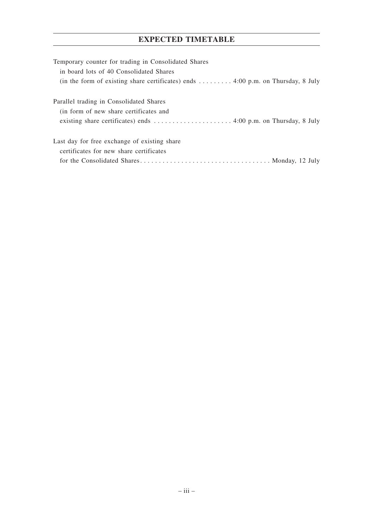## **EXPECTED TIMETABLE**

| Temporary counter for trading in Consolidated Shares                                                        |
|-------------------------------------------------------------------------------------------------------------|
| in board lots of 40 Consolidated Shares                                                                     |
| (in the form of existing share certificates) ends $\dots \dots \dots$ 4:00 p.m. on Thursday, 8 July         |
|                                                                                                             |
| Parallel trading in Consolidated Shares                                                                     |
| (in form of new share certificates and                                                                      |
| existing share certificates) ends $\dots \dots \dots \dots \dots \dots \dots$ 4:00 p.m. on Thursday, 8 July |
|                                                                                                             |
| Last day for free exchange of existing share                                                                |
| certificates for new share certificates                                                                     |
|                                                                                                             |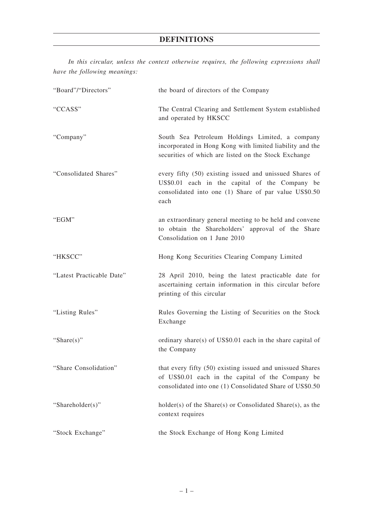## **DEFINITIONS**

*In this circular, unless the context otherwise requires, the following expressions shall have the following meanings:*

| "Board"/"Directors"       | the board of directors of the Company                                                                                                                                      |  |
|---------------------------|----------------------------------------------------------------------------------------------------------------------------------------------------------------------------|--|
| "CCASS"                   | The Central Clearing and Settlement System established<br>and operated by HKSCC                                                                                            |  |
| "Company"                 | South Sea Petroleum Holdings Limited, a company<br>incorporated in Hong Kong with limited liability and the<br>securities of which are listed on the Stock Exchange        |  |
| "Consolidated Shares"     | every fifty (50) existing issued and unissued Shares of<br>US\$0.01 each in the capital of the Company be<br>consolidated into one (1) Share of par value US\$0.50<br>each |  |
| " $EGM"$                  | an extraordinary general meeting to be held and convene<br>to obtain the Shareholders' approval of the Share<br>Consolidation on 1 June 2010                               |  |
| "HKSCC"                   | Hong Kong Securities Clearing Company Limited                                                                                                                              |  |
| "Latest Practicable Date" | 28 April 2010, being the latest practicable date for<br>ascertaining certain information in this circular before<br>printing of this circular                              |  |
| "Listing Rules"           | Rules Governing the Listing of Securities on the Stock<br>Exchange                                                                                                         |  |
| "Share $(s)$ "            | ordinary share(s) of $US$0.01$ each in the share capital of<br>the Company                                                                                                 |  |
| "Share Consolidation"     | that every fifty (50) existing issued and unissued Shares<br>of US\$0.01 each in the capital of the Company be<br>consolidated into one (1) Consolidated Share of US\$0.50 |  |
| "Shareholder(s)"          | $holder(s)$ of the Share $(s)$ or Consolidated Share $(s)$ , as the<br>context requires                                                                                    |  |
| "Stock Exchange"          | the Stock Exchange of Hong Kong Limited                                                                                                                                    |  |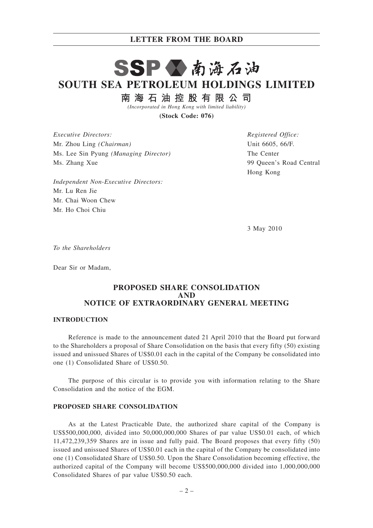# SSP公南海石油 **SOUTH SEA PETROLEUM HOLDINGS LIMITED**

南海石油控股有限公司

*(Incorporated in Hong Kong with limited liability)*

**(Stock Code: 076)**

*Executive Directors:* Mr. Zhou Ling *(Chairman)* Ms. Lee Sin Pyung *(Managing Director)* Ms. Zhang Xue

*Independent Non-Executive Directors:* Mr. Lu Ren Jie Mr. Chai Woon Chew Mr. Ho Choi Chiu

*Registered Office:* Unit 6605, 66/F. The Center 99 Queen's Road Central Hong Kong

3 May 2010

*To the Shareholders*

Dear Sir or Madam,

#### **PROPOSED SHARE CONSOLIDATION AND NOTICE OF EXTRAORDINARY GENERAL MEETING**

#### **INTRODUCTION**

Reference is made to the announcement dated 21 April 2010 that the Board put forward to the Shareholders a proposal of Share Consolidation on the basis that every fifty (50) existing issued and unissued Shares of US\$0.01 each in the capital of the Company be consolidated into one (1) Consolidated Share of US\$0.50.

The purpose of this circular is to provide you with information relating to the Share Consolidation and the notice of the EGM.

#### **PROPOSED SHARE CONSOLIDATION**

As at the Latest Practicable Date, the authorized share capital of the Company is US\$500,000,000, divided into 50,000,000,000 Shares of par value US\$0.01 each, of which 11,472,239,359 Shares are in issue and fully paid. The Board proposes that every fifty (50) issued and unissued Shares of US\$0.01 each in the capital of the Company be consolidated into one (1) Consolidated Share of US\$0.50. Upon the Share Consolidation becoming effective, the authorized capital of the Company will become US\$500,000,000 divided into 1,000,000,000 Consolidated Shares of par value US\$0.50 each.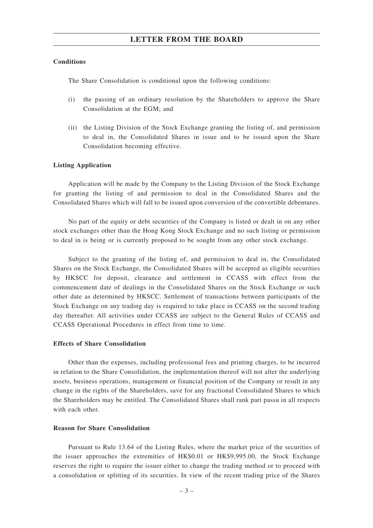#### **Conditions**

The Share Consolidation is conditional upon the following conditions:

- (i) the passing of an ordinary resolution by the Shareholders to approve the Share Consolidation at the EGM; and
- (ii) the Listing Division of the Stock Exchange granting the listing of, and permission to deal in, the Consolidated Shares in issue and to be issued upon the Share Consolidation becoming effective.

#### **Listing Application**

Application will be made by the Company to the Listing Division of the Stock Exchange for granting the listing of and permission to deal in the Consolidated Shares and the Consolidated Shares which will fall to be issued upon conversion of the convertible debentures.

No part of the equity or debt securities of the Company is listed or dealt in on any other stock exchanges other than the Hong Kong Stock Exchange and no such listing or permission to deal in is being or is currently proposed to be sought from any other stock exchange.

Subject to the granting of the listing of, and permission to deal in, the Consolidated Shares on the Stock Exchange, the Consolidated Shares will be accepted as eligible securities by HKSCC for deposit, clearance and settlement in CCASS with effect from the commencement date of dealings in the Consolidated Shares on the Stock Exchange or such other date as determined by HKSCC. Settlement of transactions between participants of the Stock Exchange on any trading day is required to take place in CCASS on the second trading day thereafter. All activities under CCASS are subject to the General Rules of CCASS and CCASS Operational Procedures in effect from time to time.

#### **Effects of Share Consolidation**

Other than the expenses, including professional fees and printing charges, to be incurred in relation to the Share Consolidation, the implementation thereof will not alter the underlying assets, business operations, management or financial position of the Company or result in any change in the rights of the Shareholders, save for any fractional Consolidated Shares to which the Shareholders may be entitled. The Consolidated Shares shall rank pari passu in all respects with each other.

#### **Reason for Share Consolidation**

Pursuant to Rule 13.64 of the Listing Rules, where the market price of the securities of the issuer approaches the extremities of HK\$0.01 or HK\$9,995.00, the Stock Exchange reserves the right to require the issuer either to change the trading method or to proceed with a consolidation or splitting of its securities. In view of the recent trading price of the Shares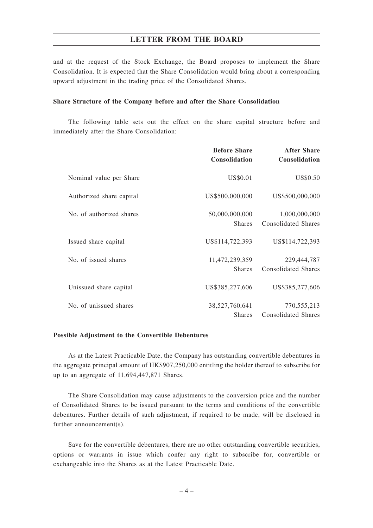and at the request of the Stock Exchange, the Board proposes to implement the Share Consolidation. It is expected that the Share Consolidation would bring about a corresponding upward adjustment in the trading price of the Consolidated Shares.

#### **Share Structure of the Company before and after the Share Consolidation**

The following table sets out the effect on the share capital structure before and immediately after the Share Consolidation:

|                          | <b>Before Share</b><br>Consolidation | <b>After Share</b><br>Consolidation         |
|--------------------------|--------------------------------------|---------------------------------------------|
| Nominal value per Share  | US\$0.01                             | US\$0.50                                    |
| Authorized share capital | US\$500,000,000                      | US\$500,000,000                             |
| No. of authorized shares | 50,000,000,000<br><b>Shares</b>      | 1,000,000,000<br><b>Consolidated Shares</b> |
| Issued share capital     | US\$114,722,393                      | US\$114,722,393                             |
| No. of issued shares     | 11,472,239,359<br><b>Shares</b>      | 229,444,787<br><b>Consolidated Shares</b>   |
| Unissued share capital   | US\$385,277,606                      | US\$385,277,606                             |
| No. of unissued shares   | 38,527,760,641<br><b>Shares</b>      | 770,555,213<br><b>Consolidated Shares</b>   |

#### **Possible Adjustment to the Convertible Debentures**

As at the Latest Practicable Date, the Company has outstanding convertible debentures in the aggregate principal amount of HK\$907,250,000 entitling the holder thereof to subscribe for up to an aggregate of 11,694,447,871 Shares.

The Share Consolidation may cause adjustments to the conversion price and the number of Consolidated Shares to be issued pursuant to the terms and conditions of the convertible debentures. Further details of such adjustment, if required to be made, will be disclosed in further announcement(s).

Save for the convertible debentures, there are no other outstanding convertible securities, options or warrants in issue which confer any right to subscribe for, convertible or exchangeable into the Shares as at the Latest Practicable Date.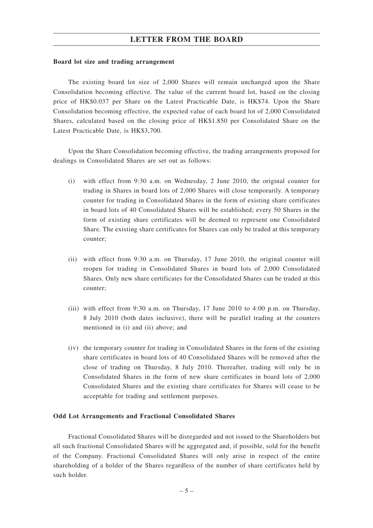#### **Board lot size and trading arrangement**

The existing board lot size of 2,000 Shares will remain unchanged upon the Share Consolidation becoming effective. The value of the current board lot, based on the closing price of HK\$0.037 per Share on the Latest Practicable Date, is HK\$74. Upon the Share Consolidation becoming effective, the expected value of each board lot of 2,000 Consolidated Shares, calculated based on the closing price of HK\$1.850 per Consolidated Share on the Latest Practicable Date, is HK\$3,700.

Upon the Share Consolidation becoming effective, the trading arrangements proposed for dealings in Consolidated Shares are set out as follows:

- (i) with effect from 9:30 a.m. on Wednesday, 2 June 2010, the original counter for trading in Shares in board lots of 2,000 Shares will close temporarily. A temporary counter for trading in Consolidated Shares in the form of existing share certificates in board lots of 40 Consolidated Shares will be established; every 50 Shares in the form of existing share certificates will be deemed to represent one Consolidated Share. The existing share certificates for Shares can only be traded at this temporary counter;
- (ii) with effect from 9:30 a.m. on Thursday, 17 June 2010, the original counter will reopen for trading in Consolidated Shares in board lots of 2,000 Consolidated Shares. Only new share certificates for the Consolidated Shares can be traded at this counter;
- (iii) with effect from 9:30 a.m. on Thursday, 17 June 2010 to 4:00 p.m. on Thursday, 8 July 2010 (both dates inclusive), there will be parallel trading at the counters mentioned in (i) and (ii) above; and
- (iv) the temporary counter for trading in Consolidated Shares in the form of the existing share certificates in board lots of 40 Consolidated Shares will be removed after the close of trading on Thursday, 8 July 2010. Thereafter, trading will only be in Consolidated Shares in the form of new share certificates in board lots of 2,000 Consolidated Shares and the existing share certificates for Shares will cease to be acceptable for trading and settlement purposes.

#### **Odd Lot Arrangements and Fractional Consolidated Shares**

Fractional Consolidated Shares will be disregarded and not issued to the Shareholders but all such fractional Consolidated Shares will be aggregated and, if possible, sold for the benefit of the Company. Fractional Consolidated Shares will only arise in respect of the entire shareholding of a holder of the Shares regardless of the number of share certificates held by such holder.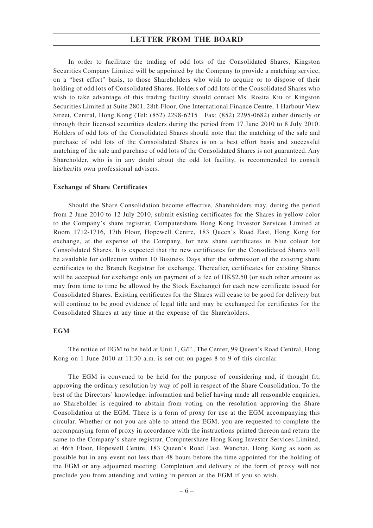In order to facilitate the trading of odd lots of the Consolidated Shares, Kingston Securities Company Limited will be appointed by the Company to provide a matching service, on a "best effort" basis, to those Shareholders who wish to acquire or to dispose of their holding of odd lots of Consolidated Shares. Holders of odd lots of the Consolidated Shares who wish to take advantage of this trading facility should contact Ms. Rosita Kiu of Kingston Securities Limited at Suite 2801, 28th Floor, One International Finance Centre, 1 Harbour View Street, Central, Hong Kong (Tel: (852) 2298-6215 Fax: (852) 2295-0682) either directly or through their licensed securities dealers during the period from 17 June 2010 to 8 July 2010. Holders of odd lots of the Consolidated Shares should note that the matching of the sale and purchase of odd lots of the Consolidated Shares is on a best effort basis and successful matching of the sale and purchase of odd lots of the Consolidated Shares is not guaranteed. Any Shareholder, who is in any doubt about the odd lot facility, is recommended to consult his/her/its own professional advisers.

#### **Exchange of Share Certificates**

Should the Share Consolidation become effective, Shareholders may, during the period from 2 June 2010 to 12 July 2010, submit existing certificates for the Shares in yellow color to the Company's share registrar, Computershare Hong Kong Investor Services Limited at Room 1712-1716, 17th Floor, Hopewell Centre, 183 Queen's Road East, Hong Kong for exchange, at the expense of the Company, for new share certificates in blue colour for Consolidated Shares. It is expected that the new certificates for the Consolidated Shares will be available for collection within 10 Business Days after the submission of the existing share certificates to the Branch Registrar for exchange. Thereafter, certificates for existing Shares will be accepted for exchange only on payment of a fee of HK\$2.50 (or such other amount as may from time to time be allowed by the Stock Exchange) for each new certificate issued for Consolidated Shares. Existing certificates for the Shares will cease to be good for delivery but will continue to be good evidence of legal title and may be exchanged for certificates for the Consolidated Shares at any time at the expense of the Shareholders.

#### **EGM**

The notice of EGM to be held at Unit 1, G/F., The Center, 99 Queen's Road Central, Hong Kong on 1 June 2010 at 11:30 a.m. is set out on pages 8 to 9 of this circular.

The EGM is convened to be held for the purpose of considering and, if thought fit, approving the ordinary resolution by way of poll in respect of the Share Consolidation. To the best of the Directors' knowledge, information and belief having made all reasonable enquiries, no Shareholder is required to abstain from voting on the resolution approving the Share Consolidation at the EGM. There is a form of proxy for use at the EGM accompanying this circular. Whether or not you are able to attend the EGM, you are requested to complete the accompanying form of proxy in accordance with the instructions printed thereon and return the same to the Company's share registrar, Computershare Hong Kong Investor Services Limited, at 46th Floor, Hopewell Centre, 183 Queen's Road East, Wanchai, Hong Kong as soon as possible but in any event not less than 48 hours before the time appointed for the holding of the EGM or any adjourned meeting. Completion and delivery of the form of proxy will not preclude you from attending and voting in person at the EGM if you so wish.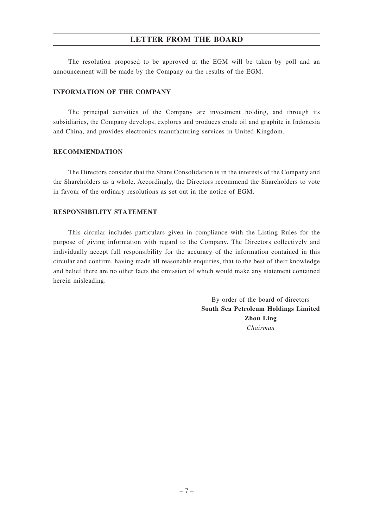The resolution proposed to be approved at the EGM will be taken by poll and an announcement will be made by the Company on the results of the EGM.

#### **INFORMATION OF THE COMPANY**

The principal activities of the Company are investment holding, and through its subsidiaries, the Company develops, explores and produces crude oil and graphite in Indonesia and China, and provides electronics manufacturing services in United Kingdom.

#### **RECOMMENDATION**

The Directors consider that the Share Consolidation is in the interests of the Company and the Shareholders as a whole. Accordingly, the Directors recommend the Shareholders to vote in favour of the ordinary resolutions as set out in the notice of EGM.

#### **RESPONSIBILITY STATEMENT**

This circular includes particulars given in compliance with the Listing Rules for the purpose of giving information with regard to the Company. The Directors collectively and individually accept full responsibility for the accuracy of the information contained in this circular and confirm, having made all reasonable enquiries, that to the best of their knowledge and belief there are no other facts the omission of which would make any statement contained herein misleading.

> By order of the board of directors **South Sea Petroleum Holdings Limited Zhou Ling** *Chairman*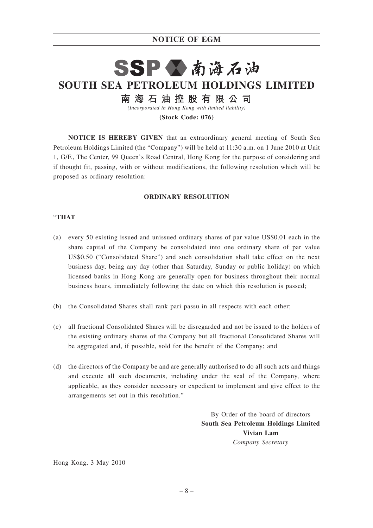## **NOTICE OF EGM**

# SSP公南海石油 **SOUTH SEA PETROLEUM HOLDINGS LIMITED** 南 海 石 油 控 股 有 限 公 司

*(Incorporated in Hong Kong with limited liability)*

**(Stock Code: 076)**

**NOTICE IS HEREBY GIVEN** that an extraordinary general meeting of South Sea Petroleum Holdings Limited (the "Company") will be held at 11:30 a.m. on 1 June 2010 at Unit 1, G/F., The Center, 99 Queen's Road Central, Hong Kong for the purpose of considering and if thought fit, passing, with or without modifications, the following resolution which will be proposed as ordinary resolution:

#### **ORDINARY RESOLUTION**

#### "**THAT**

- (a) every 50 existing issued and unissued ordinary shares of par value US\$0.01 each in the share capital of the Company be consolidated into one ordinary share of par value US\$0.50 ("Consolidated Share") and such consolidation shall take effect on the next business day, being any day (other than Saturday, Sunday or public holiday) on which licensed banks in Hong Kong are generally open for business throughout their normal business hours, immediately following the date on which this resolution is passed;
- (b) the Consolidated Shares shall rank pari passu in all respects with each other;
- (c) all fractional Consolidated Shares will be disregarded and not be issued to the holders of the existing ordinary shares of the Company but all fractional Consolidated Shares will be aggregated and, if possible, sold for the benefit of the Company; and
- (d) the directors of the Company be and are generally authorised to do all such acts and things and execute all such documents, including under the seal of the Company, where applicable, as they consider necessary or expedient to implement and give effect to the arrangements set out in this resolution."

By Order of the board of directors **South Sea Petroleum Holdings Limited Vivian Lam** *Company Secretary*

Hong Kong, 3 May 2010